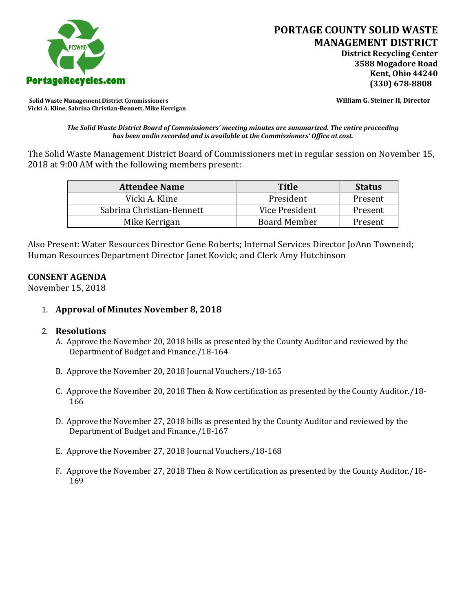

**Solid Waste Management District Commissioners William G. Steiner II, Director Vicki A. Kline, Sabrina Christian-Bennett, Mike Kerrigan** 

*The Solid Waste District Board of Commissioners' meeting minutes are summarized. The entire proceeding has been audio recorded and is available at the Commissioners' Office at cost.*

The Solid Waste Management District Board of Commissioners met in regular session on November 15, 2018 at 9:00 AM with the following members present:

| <b>Attendee Name</b>      | <b>Title</b>        | <b>Status</b> |
|---------------------------|---------------------|---------------|
| Vicki A. Kline            | President           | Present       |
| Sabrina Christian-Bennett | Vice President      | Present       |
| Mike Kerrigan             | <b>Board Member</b> | Present       |

Also Present: Water Resources Director Gene Roberts; Internal Services Director JoAnn Townend; Human Resources Department Director Janet Kovick; and Clerk Amy Hutchinson

#### **CONSENT AGENDA**

November 15, 2018

1. **Approval of Minutes November 8, 2018**

#### 2. **Resolutions**

- A. Approve the November 20, 2018 bills as presented by the County Auditor and reviewed by the Department of Budget and Finance./18-164
- B. Approve the November 20, 2018 Journal Vouchers./18-165
- C. Approve the November 20, 2018 Then & Now certification as presented by the County Auditor./18- 166
- D. Approve the November 27, 2018 bills as presented by the County Auditor and reviewed by the Department of Budget and Finance./18-167
- E. Approve the November 27, 2018 Journal Vouchers./18-168
- F. Approve the November 27, 2018 Then & Now certification as presented by the County Auditor./18- 169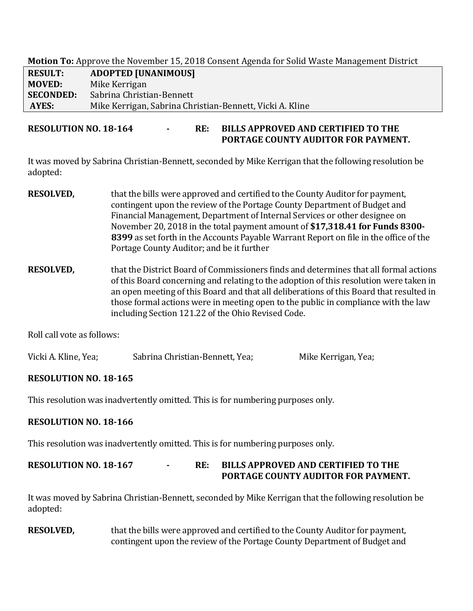**Motion To:** Approve the November 15, 2018 Consent Agenda for Solid Waste Management District

| <b>RESULT:</b>   | <b>ADOPTED [UNANIMOUS]</b>                               |
|------------------|----------------------------------------------------------|
| <b>MOVED:</b>    | Mike Kerrigan                                            |
| <b>SECONDED:</b> | Sabrina Christian-Bennett                                |
| AYES:            | Mike Kerrigan, Sabrina Christian-Bennett, Vicki A. Kline |

**RESOLUTION NO. 18-164 - RE: BILLS APPROVED AND CERTIFIED TO THE PORTAGE COUNTY AUDITOR FOR PAYMENT.** 

It was moved by Sabrina Christian-Bennett, seconded by Mike Kerrigan that the following resolution be adopted:

- **RESOLVED,** that the bills were approved and certified to the County Auditor for payment, contingent upon the review of the Portage County Department of Budget and Financial Management, Department of Internal Services or other designee on November 20, 2018 in the total payment amount of **\$17,318.41 for Funds 8300- 8399** as set forth in the Accounts Payable Warrant Report on file in the office of the Portage County Auditor; and be it further
- **RESOLVED,** that the District Board of Commissioners finds and determines that all formal actions of this Board concerning and relating to the adoption of this resolution were taken in an open meeting of this Board and that all deliberations of this Board that resulted in those formal actions were in meeting open to the public in compliance with the law including Section 121.22 of the Ohio Revised Code.

Roll call vote as follows:

| Vicki A. Kline, Yea; | Sabrina Christian-Bennett, Yea; | Mike Kerrigan, Yea; |
|----------------------|---------------------------------|---------------------|
|----------------------|---------------------------------|---------------------|

# **RESOLUTION NO. 18-165**

This resolution was inadvertently omitted. This is for numbering purposes only.

# **RESOLUTION NO. 18-166**

This resolution was inadvertently omitted. This is for numbering purposes only.

**RESOLUTION NO. 18-167 - RE: BILLS APPROVED AND CERTIFIED TO THE PORTAGE COUNTY AUDITOR FOR PAYMENT.** 

It was moved by Sabrina Christian-Bennett, seconded by Mike Kerrigan that the following resolution be adopted:

**RESOLVED,** that the bills were approved and certified to the County Auditor for payment, contingent upon the review of the Portage County Department of Budget and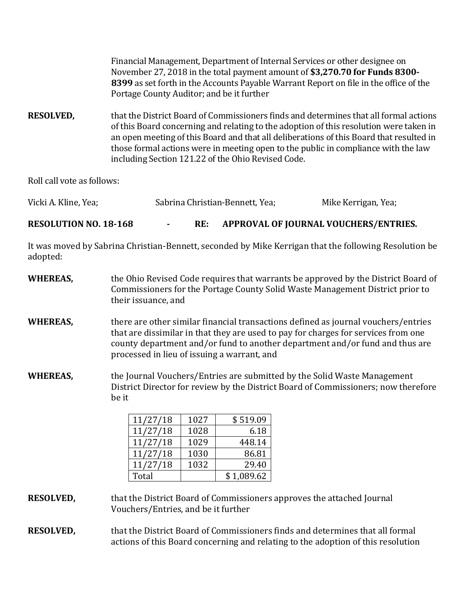|                            | Financial Management, Department of Internal Services or other designee on<br>November 27, 2018 in the total payment amount of \$3,270.70 for Funds 8300-<br>8399 as set forth in the Accounts Payable Warrant Report on file in the office of the<br>Portage County Auditor; and be it further                                                                                                                        |                     |
|----------------------------|------------------------------------------------------------------------------------------------------------------------------------------------------------------------------------------------------------------------------------------------------------------------------------------------------------------------------------------------------------------------------------------------------------------------|---------------------|
| <b>RESOLVED,</b>           | that the District Board of Commissioners finds and determines that all formal actions<br>of this Board concerning and relating to the adoption of this resolution were taken in<br>an open meeting of this Board and that all deliberations of this Board that resulted in<br>those formal actions were in meeting open to the public in compliance with the law<br>including Section 121.22 of the Ohio Revised Code. |                     |
| Roll call vote as follows: |                                                                                                                                                                                                                                                                                                                                                                                                                        |                     |
| Vicki A. Kline, Yea;       | Sabrina Christian-Bennett, Yea;                                                                                                                                                                                                                                                                                                                                                                                        | Mike Kerrigan, Yea; |

**RESOLUTION NO. 18-168 - RE: APPROVAL OF JOURNAL VOUCHERS/ENTRIES.**

It was moved by Sabrina Christian-Bennett, seconded by Mike Kerrigan that the following Resolution be adopted:

| <b>WHEREAS,</b> | the Ohio Revised Code requires that warrants be approved by the District Board of<br>Commissioners for the Portage County Solid Waste Management District prior to<br>their issuance, and                                                                                                               |
|-----------------|---------------------------------------------------------------------------------------------------------------------------------------------------------------------------------------------------------------------------------------------------------------------------------------------------------|
| WHEREAS,        | there are other similar financial transactions defined as journal vouchers/entries<br>that are dissimilar in that they are used to pay for charges for services from one<br>county department and/or fund to another department and/or fund and thus are<br>processed in lieu of issuing a warrant, and |
| WHEREAS,        | the Journal Vouchers/Entries are submitted by the Solid Waste Management<br>District Director for review by the District Board of Commissioners; now therefore<br>be it                                                                                                                                 |

| 11/27/18 | 1027 | \$519.09   |
|----------|------|------------|
| 11/27/18 | 1028 | 6.18       |
| 11/27/18 | 1029 | 448.14     |
| 11/27/18 | 1030 | 86.81      |
| 11/27/18 | 1032 | 29.40      |
| Total    |      | \$1,089.62 |

**RESOLVED,** that the District Board of Commissioners approves the attached Journal Vouchers/Entries, and be it further

**RESOLVED,** that the District Board of Commissioners finds and determines that all formal actions of this Board concerning and relating to the adoption of this resolution